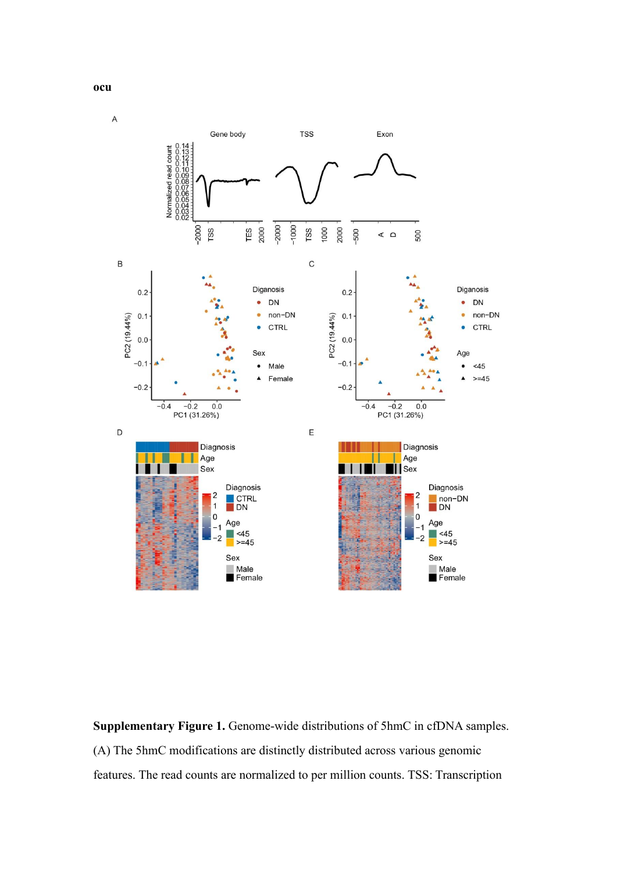

1

 $\overline{\mathbf{0}}$ Age

 $<45$ 

 $>= 45$ Sex

 $\blacksquare$  Male  $F$ emale



 $\mathbf{1}$ 

 $\mathbf{0}$ 

.2

Age  $\blacksquare$  <45

Sex Male<br>Female

 $>= 45$ 

**ocu**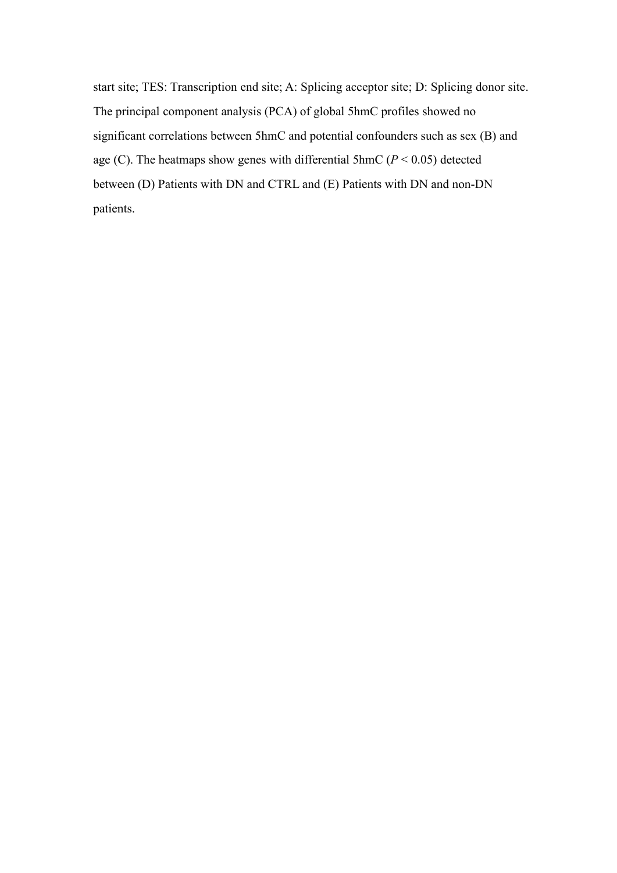start site; TES: Transcription end site; A: Splicing acceptor site; D: Splicing donor site. The principal component analysis (PCA) of global 5hmC profiles showed no significant correlations between 5hmC and potential confounders such as sex (B) and age (C). The heatmaps show genes with differential 5hmC ( $P < 0.05$ ) detected between (D) Patients with DN and CTRL and (E) Patients with DN and non-DN patients.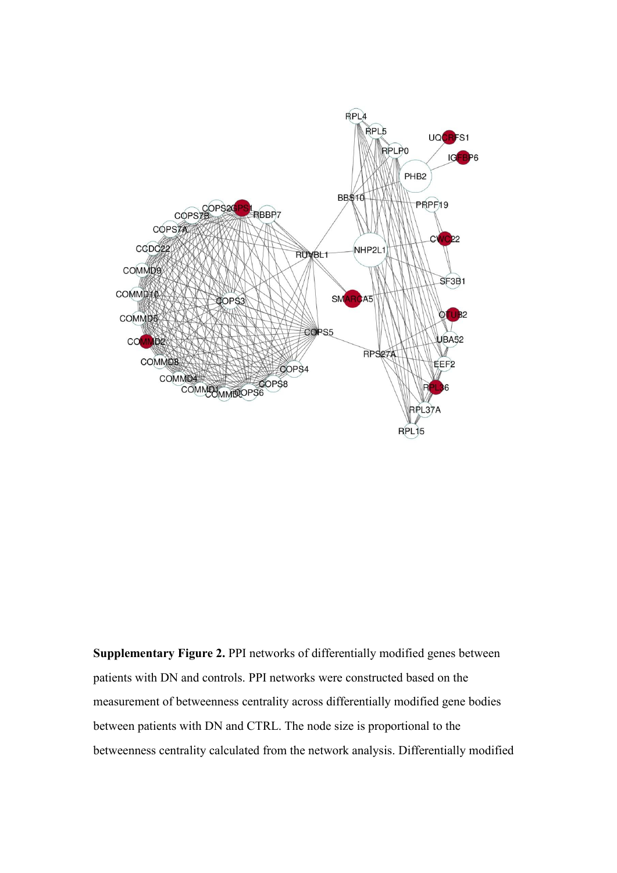

**Supplementary Figure 2.** PPI networks of differentially modified genes between patients with DN and controls. PPI networks were constructed based on the measurement of betweenness centrality across differentially modified gene bodies between patients with DN and CTRL. The node size is proportional to the betweenness centrality calculated from the network analysis. Differentially modified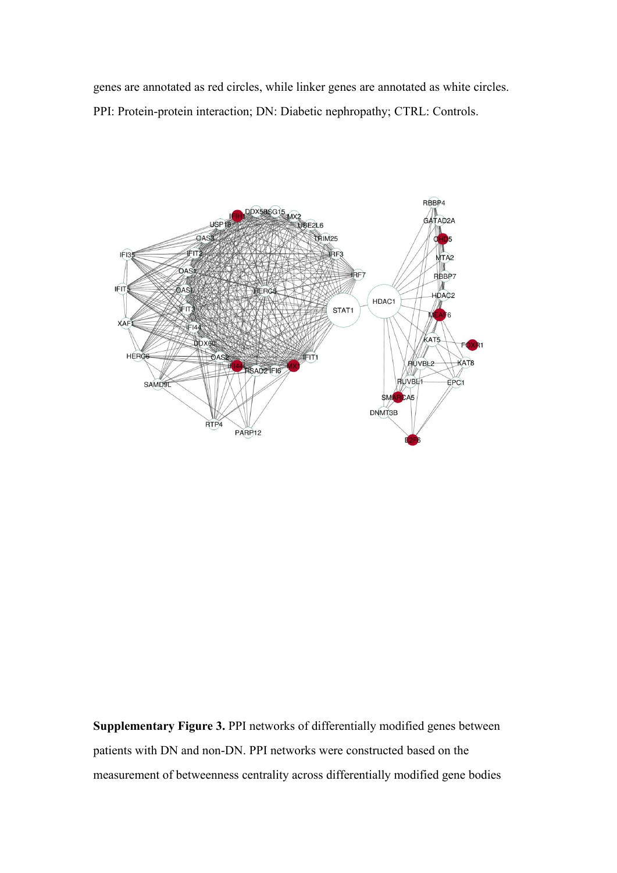genes are annotated as red circles, while linker genes are annotated as white circles. PPI: Protein-protein interaction; DN: Diabetic nephropathy; CTRL: Controls.



**Supplementary Figure 3.** PPI networks of differentially modified genes between patients with DN and non-DN. PPI networks were constructed based on the measurement of betweenness centrality across differentially modified gene bodies